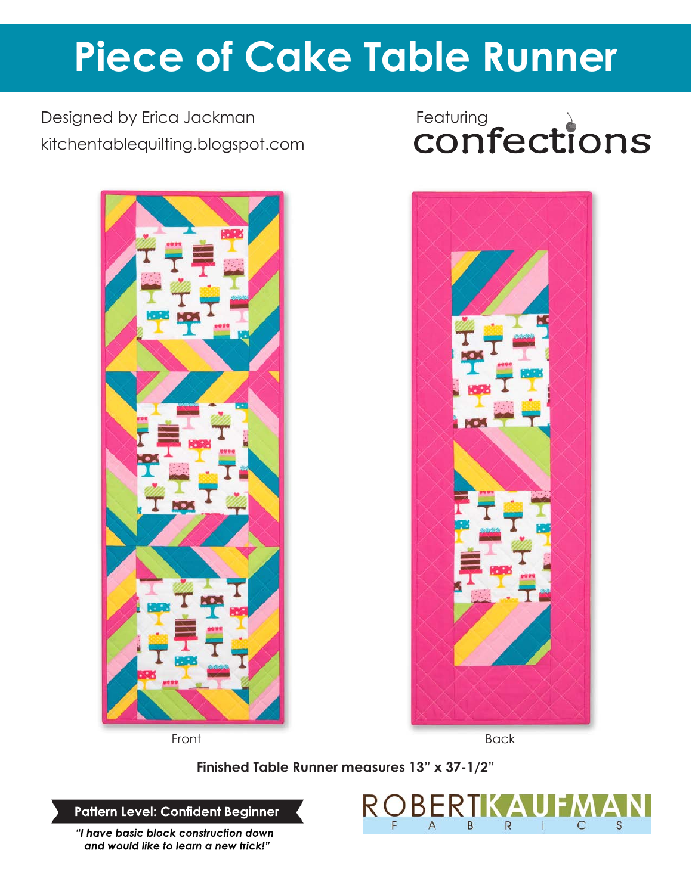# **Piece of Cake Table Runner**

Designed by Erica Jackman kitchentablequilting.blogspot.com



# Featuring<br>**CONfections**



Front Back

**Finished Table Runner measures 13" x 37-1/2"**

**Pattern Level: Confident Beginner**

*"I have basic block construction down and would like to learn a new trick!"*

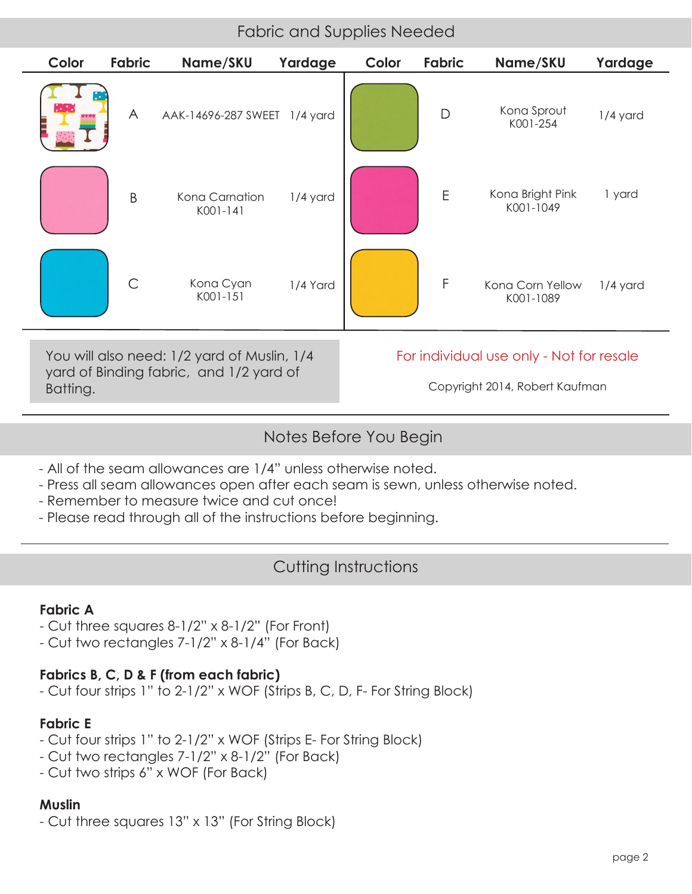## Fabric and Supplies Needed

| Color                                                                                              | <b>Fabric</b> | Name/SKU                     | Yardage    | Color                                                                      | <b>Fabric</b> | Name/SKU                      | Yardage  |
|----------------------------------------------------------------------------------------------------|---------------|------------------------------|------------|----------------------------------------------------------------------------|---------------|-------------------------------|----------|
|                                                                                                    | A             | AAK-14696-287 SWEET 1/4 yard |            |                                                                            | $\mathsf{D}$  | Kona Sprout<br>K001-254       | 1/4 yard |
|                                                                                                    | B             | Kona Carnation<br>K001-141   | $1/4$ yard |                                                                            | $\mathsf E$   | Kona Bright Pink<br>K001-1049 | 1 yard   |
|                                                                                                    | C             | Kona Cyan<br>K001-151        | 1/4 Yard   |                                                                            | $\mathsf{F}$  | Kona Corn Yellow<br>K001-1089 | 1/4 yard |
| You will also need: 1/2 yard of Muslin, 1/4<br>yard of Binding fabric, and 1/2 yard of<br>Batting. |               |                              |            | For individual use only - Not for resale<br>Copyright 2014, Robert Kaufman |               |                               |          |

### Notes Before You Begin

- All of the seam allowances are 1/4" unless otherwise noted.
- Press all seam allowances open after each seam is sewn, unless otherwise noted.
- Remember to measure twice and cut once!
- Please read through all of the instructions before beginning.

# Cutting Instructions

#### **Fabric A**

- Cut three squares 8-1/2" x 8-1/2" (For Front)
- Cut two rectangles 7-1/2" x 8-1/4" (For Back)

#### **Fabrics B, C, D & F (from each fabric)**

- Cut four strips 1" to 2-1/2" x WOF (Strips B, C, D, F- For String Block)

#### **Fabric E**

- Cut four strips 1" to 2-1/2" x WOF (Strips E- For String Block)
- Cut two rectangles 7-1/2" x 8-1/2" (For Back)
- Cut two strips 6" x WOF (For Back)

#### **Muslin**

- Cut three squares 13" x 13" (For String Block)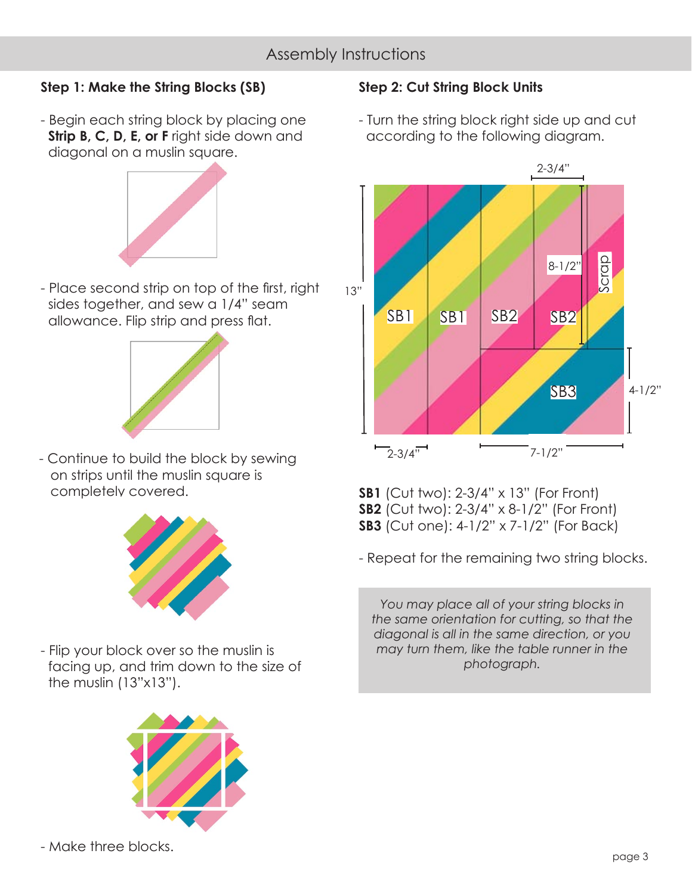# Assembly Instructions

#### **Step 1: Make the String Blocks (SB)**

- Begin each string block by placing one **Strip B, C, D, E, or F** right side down and diagonal on a muslin square.



- Place second strip on top of the first, right sides together, and sew a 1/4" seam allowance. Flip strip and press flat.



- Continue to build the block by sewing on strips until the muslin square is completely covered.



- Flip your block over so the muslin is facing up, and trim down to the size of the muslin (13"x13").



#### **Step 2: Cut String Block Units**

- Turn the string block right side up and cut according to the following diagram.



**SB1** (Cut two): 2-3/4" x 13" (For Front) **SB2** (Cut two): 2-3/4" x 8-1/2" (For Front) **SB3** (Cut one): 4-1/2" x 7-1/2" (For Back)

- Repeat for the remaining two string blocks.

*You may place all of your string blocks in the same orientation for cutting, so that the diagonal is all in the same direction, or you may turn them, like the table runner in the photograph.*

- Make three blocks.